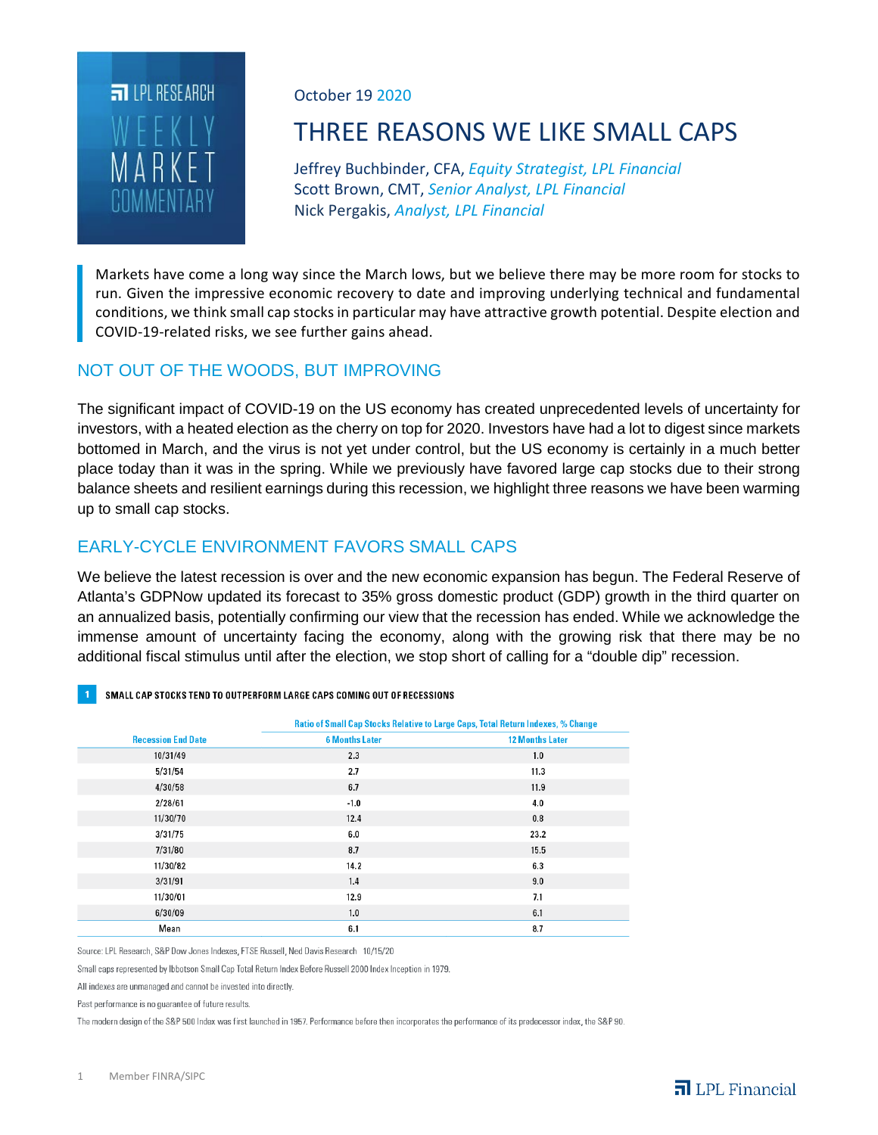

October 19 2020

# THREE REASONS WE LIKE SMALL CAPS

Jeffrey Buchbinder, CFA, *Equity Strategist, LPL Financial* Scott Brown, CMT, *Senior Analyst, LPL Financial* Nick Pergakis, *Analyst, LPL Financial*

Markets have come a long way since the March lows, but we believe there may be more room for stocks to run. Given the impressive economic recovery to date and improving underlying technical and fundamental conditions, we think small cap stocks in particular may have attractive growth potential. Despite election and COVID-19-related risks, we see further gains ahead.

### NOT OUT OF THE WOODS, BUT IMPROVING

The significant impact of COVID-19 on the US economy has created unprecedented levels of uncertainty for investors, with a heated election as the cherry on top for 2020. Investors have had a lot to digest since markets bottomed in March, and the virus is not yet under control, but the US economy is certainly in a much better place today than it was in the spring. While we previously have favored large cap stocks due to their strong balance sheets and resilient earnings during this recession, we highlight three reasons we have been warming up to small cap stocks.

#### EARLY-CYCLE ENVIRONMENT FAVORS SMALL CAPS

We believe the latest recession is over and the new economic expansion has begun. The Federal Reserve of Atlanta's GDPNow updated its forecast to 35% gross domestic product (GDP) growth in the third quarter on an annualized basis, potentially confirming our view that the recession has ended. While we acknowledge the immense amount of uncertainty facing the economy, along with the growing risk that there may be no additional fiscal stimulus until after the election, we stop short of calling for a "double dip" recession.

| SMALL CAP STOCKS TEND TO OUTPERFORM LARGE CAPS COMING OUT OF RECESSIONS |
|-------------------------------------------------------------------------|
|-------------------------------------------------------------------------|

|                           | Ratio of Small Cap Stocks Relative to Large Caps, Total Return Indexes, % Change |                        |
|---------------------------|----------------------------------------------------------------------------------|------------------------|
| <b>Recession End Date</b> | <b>6 Months Later</b>                                                            | <b>12 Months Later</b> |
| 10/31/49                  | 2.3                                                                              | 1.0                    |
| 5/31/54                   | 2.7                                                                              | 11.3                   |
| 4/30/58                   | 6.7                                                                              | 11.9                   |
| 2/28/61                   | $-1.0$                                                                           | 4.0                    |
| 11/30/70                  | 12.4                                                                             | 0.8                    |
| 3/31/75                   | 6.0                                                                              | 23.2                   |
| 7/31/80                   | 8.7                                                                              | 15.5                   |
| 11/30/82                  | 14.2                                                                             | 6.3                    |
| 3/31/91                   | 1.4                                                                              | 9.0                    |
| 11/30/01                  | 12.9                                                                             | 7.1                    |
| 6/30/09                   | 1.0                                                                              | 6.1                    |
| Mean                      | 6.1                                                                              | 8.7                    |

Source: LPL Research, S&P Dow Jones Indexes, FTSE Russell, Ned Davis Research, 10/15/20

Small caps represented by Ibbotson Small Cap Total Return Index Before Russell 2000 Index Inception in 1979.

All indexes are unmanaged and cannot be invested into directly.

Past performance is no quarantee of future results.

The modern design of the S&P 500 Index was first launched in 1957. Performance before then incorporates the performance of its predecessor index, the S&P 90.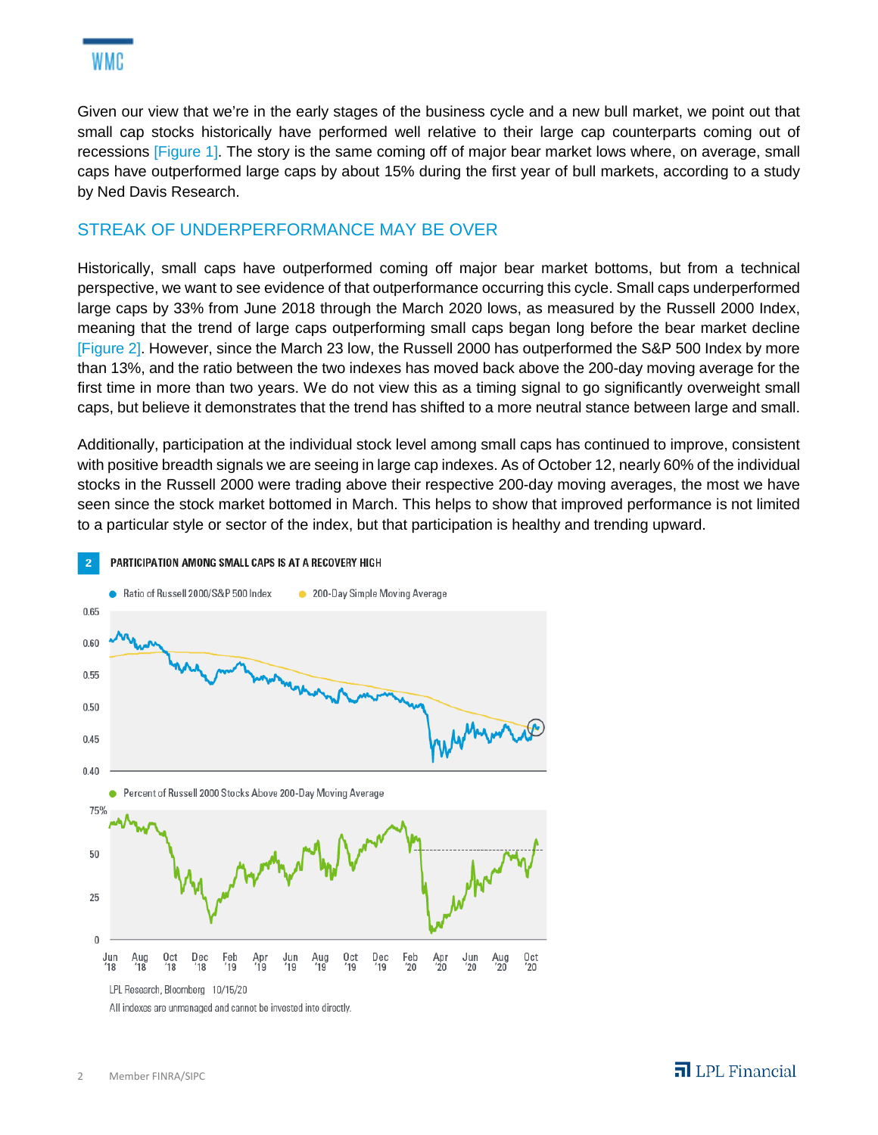Given our view that we're in the early stages of the business cycle and a new bull market, we point out that small cap stocks historically have performed well relative to their large cap counterparts coming out of recessions [Figure 1]. The story is the same coming off of major bear market lows where, on average, small caps have outperformed large caps by about 15% during the first year of bull markets, according to a study by Ned Davis Research.

### STREAK OF UNDERPERFORMANCE MAY BE OVER

Historically, small caps have outperformed coming off major bear market bottoms, but from a technical perspective, we want to see evidence of that outperformance occurring this cycle. Small caps underperformed large caps by 33% from June 2018 through the March 2020 lows, as measured by the Russell 2000 Index, meaning that the trend of large caps outperforming small caps began long before the bear market decline [Figure 2]. However, since the March 23 low, the Russell 2000 has outperformed the S&P 500 Index by more than 13%, and the ratio between the two indexes has moved back above the 200-day moving average for the first time in more than two years. We do not view this as a timing signal to go significantly overweight small caps, but believe it demonstrates that the trend has shifted to a more neutral stance between large and small.

Additionally, participation at the individual stock level among small caps has continued to improve, consistent with positive breadth signals we are seeing in large cap indexes. As of October 12, nearly 60% of the individual stocks in the Russell 2000 were trading above their respective 200-day moving averages, the most we have seen since the stock market bottomed in March. This helps to show that improved performance is not limited to a particular style or sector of the index, but that participation is healthy and trending upward.



All indexes are unmanaged and cannot be invested into directly.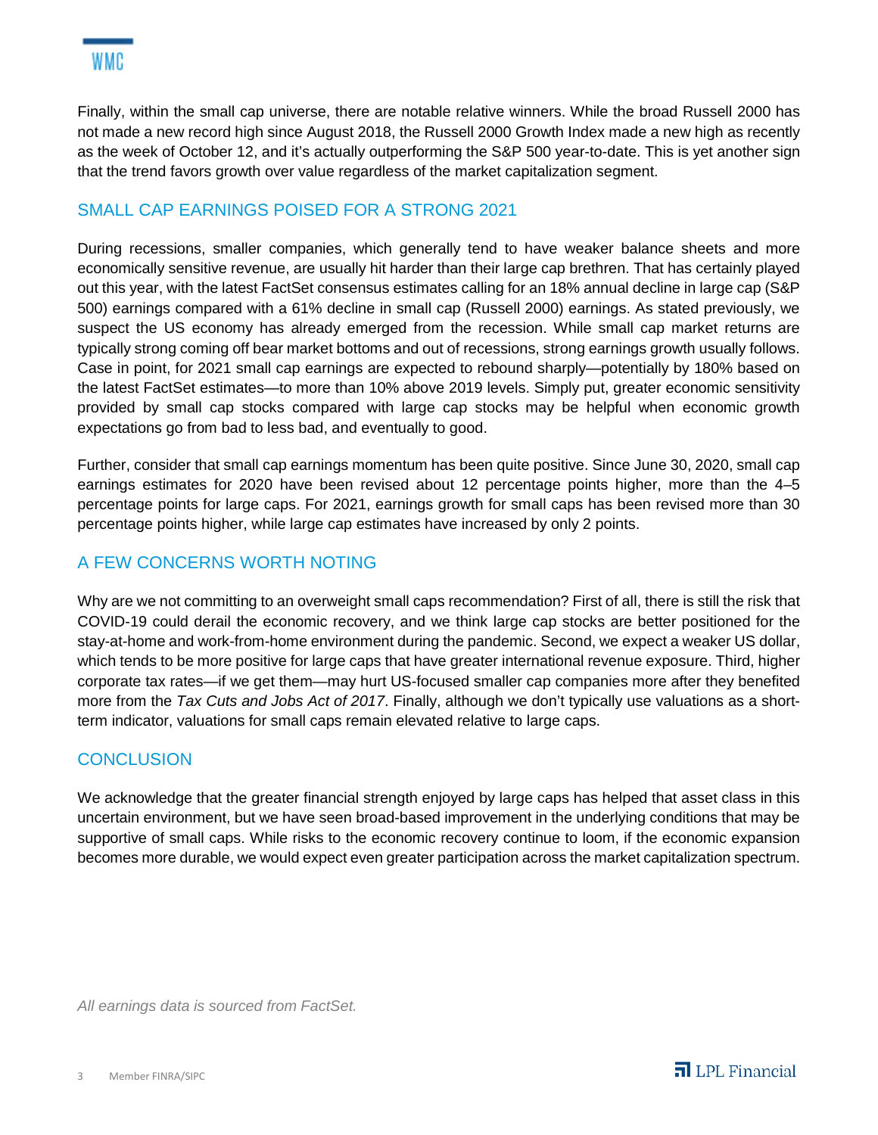Finally, within the small cap universe, there are notable relative winners. While the broad Russell 2000 has not made a new record high since August 2018, the Russell 2000 Growth Index made a new high as recently as the week of October 12, and it's actually outperforming the S&P 500 year-to-date. This is yet another sign that the trend favors growth over value regardless of the market capitalization segment.

## SMALL CAP EARNINGS POISED FOR A STRONG 2021

During recessions, smaller companies, which generally tend to have weaker balance sheets and more economically sensitive revenue, are usually hit harder than their large cap brethren. That has certainly played out this year, with the latest FactSet consensus estimates calling for an 18% annual decline in large cap (S&P 500) earnings compared with a 61% decline in small cap (Russell 2000) earnings. As stated previously, we suspect the US economy has already emerged from the recession. While small cap market returns are typically strong coming off bear market bottoms and out of recessions, strong earnings growth usually follows. Case in point, for 2021 small cap earnings are expected to rebound sharply—potentially by 180% based on the latest FactSet estimates—to more than 10% above 2019 levels. Simply put, greater economic sensitivity provided by small cap stocks compared with large cap stocks may be helpful when economic growth expectations go from bad to less bad, and eventually to good.

Further, consider that small cap earnings momentum has been quite positive. Since June 30, 2020, small cap earnings estimates for 2020 have been revised about 12 percentage points higher, more than the 4–5 percentage points for large caps. For 2021, earnings growth for small caps has been revised more than 30 percentage points higher, while large cap estimates have increased by only 2 points.

### A FEW CONCERNS WORTH NOTING

Why are we not committing to an overweight small caps recommendation? First of all, there is still the risk that COVID-19 could derail the economic recovery, and we think large cap stocks are better positioned for the stay-at-home and work-from-home environment during the pandemic. Second, we expect a weaker US dollar, which tends to be more positive for large caps that have greater international revenue exposure. Third, higher corporate tax rates—if we get them—may hurt US-focused smaller cap companies more after they benefited more from the *Tax Cuts and Jobs Act of 2017*. Finally, although we don't typically use valuations as a shortterm indicator, valuations for small caps remain elevated relative to large caps.

### **CONCLUSION**

We acknowledge that the greater financial strength enjoyed by large caps has helped that asset class in this uncertain environment, but we have seen broad-based improvement in the underlying conditions that may be supportive of small caps. While risks to the economic recovery continue to loom, if the economic expansion becomes more durable, we would expect even greater participation across the market capitalization spectrum.

*All earnings data is sourced from FactSet.*